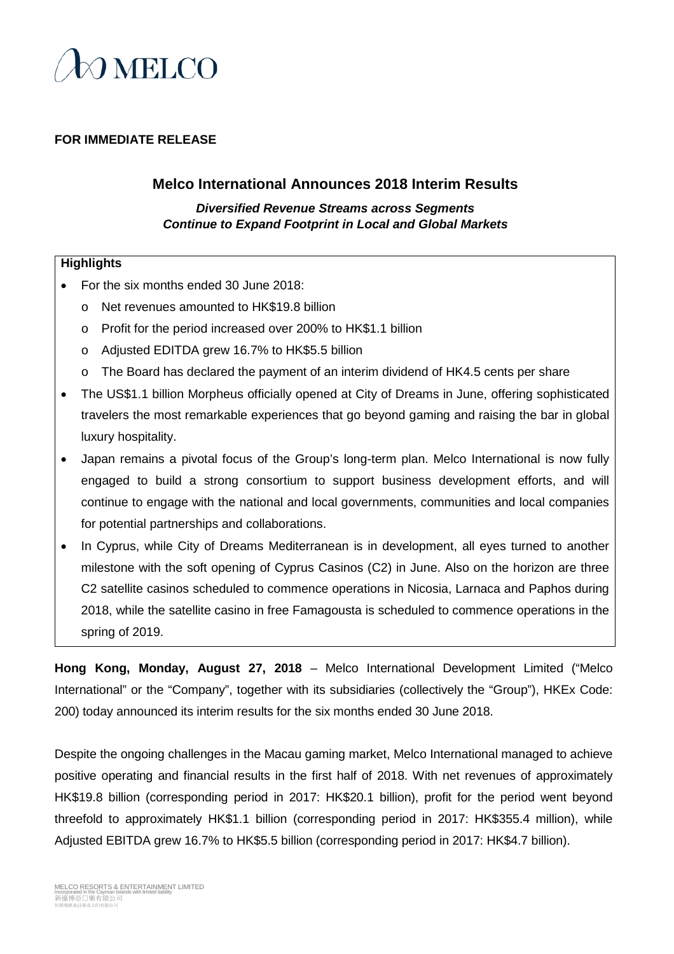

### **FOR IMMEDIATE RELEASE**

### **Melco International Announces 2018 Interim Results**

*Diversified Revenue Streams across Segments Continue to Expand Footprint in Local and Global Markets*

#### **Highlights**

- For the six months ended 30 June 2018:
	- o Net revenues amounted to HK\$19.8 billion
	- o Profit for the period increased over 200% to HK\$1.1 billion
	- o Adjusted EDITDA grew 16.7% to HK\$5.5 billion
	- o The Board has declared the payment of an interim dividend of HK4.5 cents per share
- The US\$1.1 billion Morpheus officially opened at City of Dreams in June, offering sophisticated travelers the most remarkable experiences that go beyond gaming and raising the bar in global luxury hospitality.
- Japan remains a pivotal focus of the Group's long-term plan. Melco International is now fully engaged to build a strong consortium to support business development efforts, and will continue to engage with the national and local governments, communities and local companies for potential partnerships and collaborations.
- In Cyprus, while City of Dreams Mediterranean is in development, all eyes turned to another milestone with the soft opening of Cyprus Casinos (C2) in June. Also on the horizon are three C2 satellite casinos scheduled to commence operations in Nicosia, Larnaca and Paphos during 2018, while the satellite casino in free Famagousta is scheduled to commence operations in the spring of 2019.

**Hong Kong, Monday, August 27, 2018** – Melco International Development Limited ("Melco International" or the "Company", together with its subsidiaries (collectively the "Group"), HKEx Code: 200) today announced its interim results for the six months ended 30 June 2018.

Despite the ongoing challenges in the Macau gaming market, Melco International managed to achieve positive operating and financial results in the first half of 2018. With net revenues of approximately HK\$19.8 billion (corresponding period in 2017: HK\$20.1 billion), profit for the period went beyond threefold to approximately HK\$1.1 billion (corresponding period in 2017: HK\$355.4 million), while Adjusted EBITDA grew 16.7% to HK\$5.5 billion (corresponding period in 2017: HK\$4.7 billion).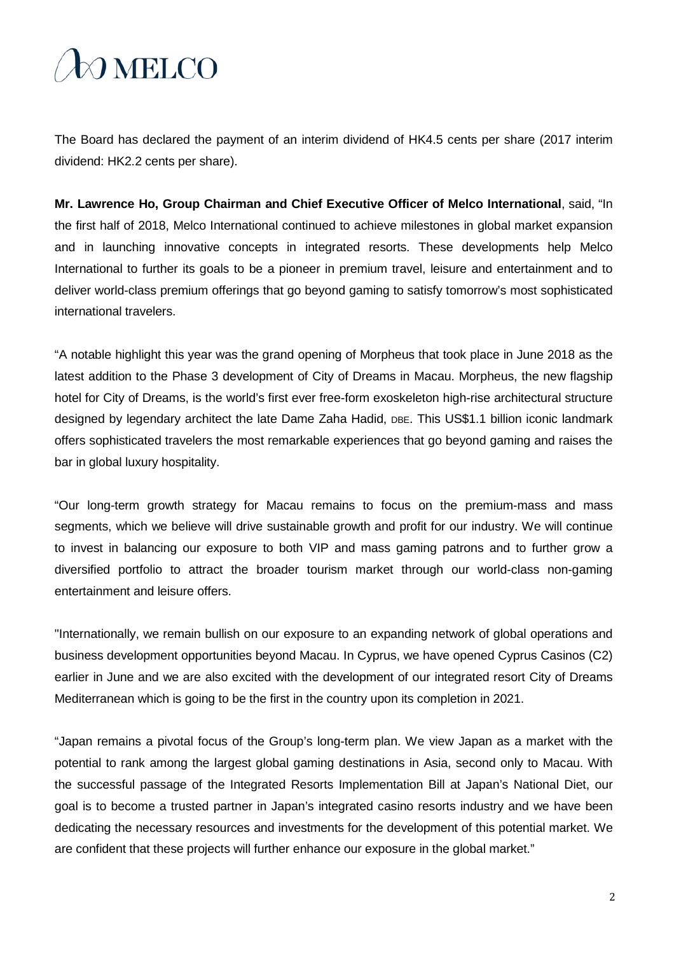# O MELCO

The Board has declared the payment of an interim dividend of HK4.5 cents per share (2017 interim dividend: HK2.2 cents per share).

**Mr. Lawrence Ho, Group Chairman and Chief Executive Officer of Melco International**, said, "In the first half of 2018, Melco International continued to achieve milestones in global market expansion and in launching innovative concepts in integrated resorts. These developments help Melco International to further its goals to be a pioneer in premium travel, leisure and entertainment and to deliver world-class premium offerings that go beyond gaming to satisfy tomorrow's most sophisticated international travelers.

"A notable highlight this year was the grand opening of Morpheus that took place in June 2018 as the latest addition to the Phase 3 development of City of Dreams in Macau. Morpheus, the new flagship hotel for City of Dreams, is the world's first ever free-form exoskeleton high-rise architectural structure designed by legendary architect the late Dame Zaha Hadid, DBE. This US\$1.1 billion iconic landmark offers sophisticated travelers the most remarkable experiences that go beyond gaming and raises the bar in global luxury hospitality.

"Our long-term growth strategy for Macau remains to focus on the premium-mass and mass segments, which we believe will drive sustainable growth and profit for our industry. We will continue to invest in balancing our exposure to both VIP and mass gaming patrons and to further grow a diversified portfolio to attract the broader tourism market through our world-class non-gaming entertainment and leisure offers.

"Internationally, we remain bullish on our exposure to an expanding network of global operations and business development opportunities beyond Macau. In Cyprus, we have opened Cyprus Casinos (C2) earlier in June and we are also excited with the development of our integrated resort City of Dreams Mediterranean which is going to be the first in the country upon its completion in 2021.

"Japan remains a pivotal focus of the Group's long-term plan. We view Japan as a market with the potential to rank among the largest global gaming destinations in Asia, second only to Macau. With the successful passage of the Integrated Resorts Implementation Bill at Japan's National Diet, our goal is to become a trusted partner in Japan's integrated casino resorts industry and we have been dedicating the necessary resources and investments for the development of this potential market. We are confident that these projects will further enhance our exposure in the global market."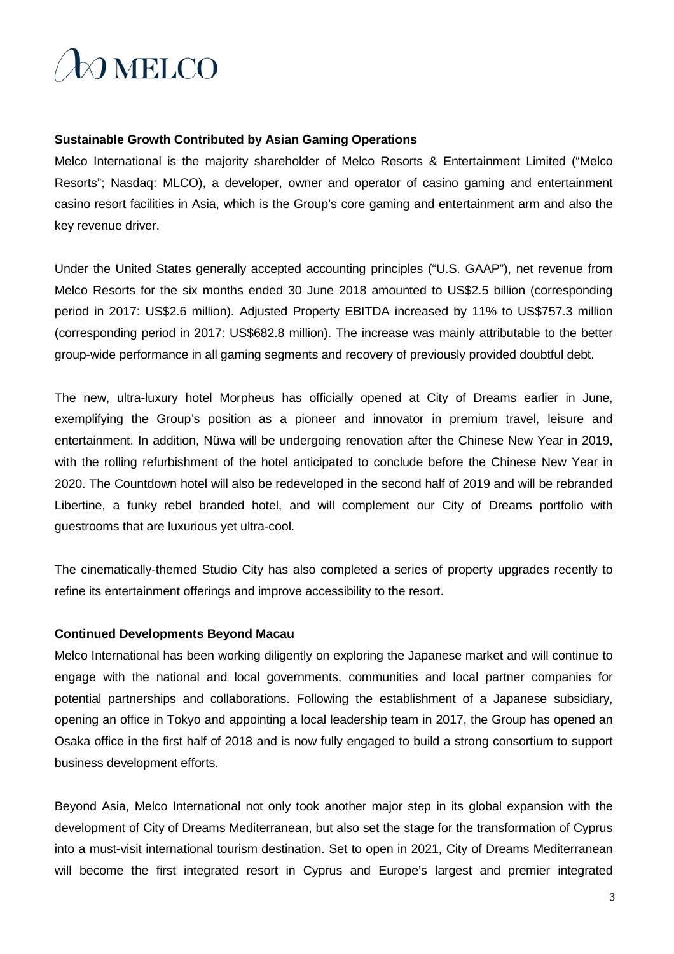

#### **Sustainable Growth Contributed by Asian Gaming Operations**

Melco International is the majority shareholder of Melco Resorts & Entertainment Limited ("Melco Resorts"; Nasdaq: MLCO), a developer, owner and operator of casino gaming and entertainment casino resort facilities in Asia, which is the Group's core gaming and entertainment arm and also the key revenue driver.

Under the United States generally accepted accounting principles ("U.S. GAAP"), net revenue from Melco Resorts for the six months ended 30 June 2018 amounted to US\$2.5 billion (corresponding period in 2017: US\$2.6 million). Adjusted Property EBITDA increased by 11% to US\$757.3 million (corresponding period in 2017: US\$682.8 million). The increase was mainly attributable to the better group-wide performance in all gaming segments and recovery of previously provided doubtful debt.

The new, ultra-luxury hotel Morpheus has officially opened at City of Dreams earlier in June, exemplifying the Group's position as a pioneer and innovator in premium travel, leisure and entertainment. In addition, Nüwa will be undergoing renovation after the Chinese New Year in 2019, with the rolling refurbishment of the hotel anticipated to conclude before the Chinese New Year in 2020. The Countdown hotel will also be redeveloped in the second half of 2019 and will be rebranded Libertine, a funky rebel branded hotel, and will complement our City of Dreams portfolio with guestrooms that are luxurious yet ultra-cool.

The cinematically-themed Studio City has also completed a series of property upgrades recently to refine its entertainment offerings and improve accessibility to the resort.

#### **Continued Developments Beyond Macau**

Melco International has been working diligently on exploring the Japanese market and will continue to engage with the national and local governments, communities and local partner companies for potential partnerships and collaborations. Following the establishment of a Japanese subsidiary, opening an office in Tokyo and appointing a local leadership team in 2017, the Group has opened an Osaka office in the first half of 2018 and is now fully engaged to build a strong consortium to support business development efforts.

Beyond Asia, Melco International not only took another major step in its global expansion with the development of City of Dreams Mediterranean, but also set the stage for the transformation of Cyprus into a must-visit international tourism destination. Set to open in 2021, City of Dreams Mediterranean will become the first integrated resort in Cyprus and Europe's largest and premier integrated